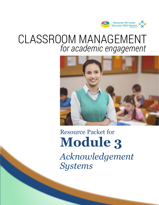

## CLASSROOM MANAGEMENT *for academic engagement*



# *Acknowledgement Systems* Resource Packet for **Module 3**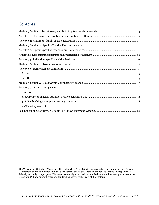### **Contents**

The Wisconsin RtI Center/Wisconsin PBIS Network (CFDA #84.027) acknowledges the support of the Wisconsin Department of Public Instruction in the development of this presentation and for the continued support of this federally-funded grant program. There are no copyright restrictions on this document; however, please credit the Wisconsin DPI and support of federal funds when copying all or part of this material.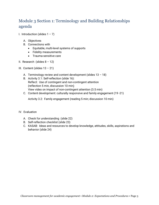## <span id="page-2-0"></span>Module 3 Section 1: Terminology and Building Relationships agenda

- I. Introduction (slides  $1 7$ )
	- A. Objectives
	- B. Connections with
		- Equitable, multi-level systems of supports
		- Fidelity measurements
		- Trauma-sensitive care
- II. Research (slides  $8 12$ )
- III. Content (slides 13 21)
	- A. Terminology review and content development (slides  $13 18$ )
	- B. Activity 3.1: Self-reflection (slide 16): Reflect: Use of contingent and non-contingent attention (reflection 5 min, discussion 10 min) View video on impact of non-contingent attention (3.5 min)
	- C. Content development: culturally responsive and family engagement (19 -21)

Activity 3.2: Family engagement (reading 5 min; discussion 10 min)

#### IV. Evaluation

- A. Check for understanding (slide 22)
- B. Self-reflection checklist (slide 23)
- C. KASAB: Ideas and resources to develop knowledge, attitudes, skills, aspirations and behavior (slide 24)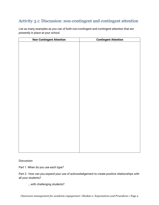## <span id="page-3-0"></span>Activity 3.1: Discussion: non-contingent and contingent attention

| <b>Non-Contingent Attention</b> | <b>Contingent Attention</b> |
|---------------------------------|-----------------------------|
|                                 |                             |
|                                 |                             |
|                                 |                             |
|                                 |                             |
|                                 |                             |
|                                 |                             |
|                                 |                             |
|                                 |                             |
|                                 |                             |
|                                 |                             |
|                                 |                             |
|                                 |                             |
|                                 |                             |
|                                 |                             |
|                                 |                             |
|                                 |                             |
|                                 |                             |
|                                 |                             |
|                                 |                             |
|                                 |                             |
|                                 |                             |
|                                 |                             |
|                                 |                             |
|                                 |                             |
|                                 |                             |
|                                 |                             |

List as many examples as you can of both non-contingent and contingent attention that are presently in place at your school.

**Discussion** 

Part 1. When do you use each type?

Part 2: How can you expand your use of acknowledgement to create positive relationships with all your students?

….with challenging students?

*Classroom management for academic engagement • Module 2: Expectations and Procedures* • Page 4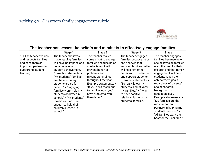## Activity 3.2: Classroom family engagement rubric



<span id="page-4-0"></span>

|                                                                                                                                 | The teacher possesses the beliefs and mindsets to effectively engage families                                                                                                                                                                                                                                                                                                                                      |                                                                                                                                                                                                                                                                                                    |                                                                                                                                                                                                                                                                                                                                                   |                                                                                                                                                                                                                                                                                                                                                                                                                                                                     |  |  |  |
|---------------------------------------------------------------------------------------------------------------------------------|--------------------------------------------------------------------------------------------------------------------------------------------------------------------------------------------------------------------------------------------------------------------------------------------------------------------------------------------------------------------------------------------------------------------|----------------------------------------------------------------------------------------------------------------------------------------------------------------------------------------------------------------------------------------------------------------------------------------------------|---------------------------------------------------------------------------------------------------------------------------------------------------------------------------------------------------------------------------------------------------------------------------------------------------------------------------------------------------|---------------------------------------------------------------------------------------------------------------------------------------------------------------------------------------------------------------------------------------------------------------------------------------------------------------------------------------------------------------------------------------------------------------------------------------------------------------------|--|--|--|
|                                                                                                                                 | Stage 1                                                                                                                                                                                                                                                                                                                                                                                                            | Stage 2                                                                                                                                                                                                                                                                                            | Stage 3                                                                                                                                                                                                                                                                                                                                           | Stage 4                                                                                                                                                                                                                                                                                                                                                                                                                                                             |  |  |  |
| 1.1 The teacher values<br>and respects families<br>and sees them as<br>important partners in<br>supporting student<br>learning. | The teacher believes<br>that engaging families<br>will have no impact, or a<br>negative one, on<br>student achievement.<br>Example statements: •<br>"My students' families<br>are the reason my<br>students are so far<br>behind." • "Engaging<br>families won't help my<br>students do better in<br>school." • "My students'<br>families are not smart<br>enough to help their<br>children succeed in<br>school." | The teacher makes<br>some effort to engage<br>families because he or<br>she believes it will<br>prevent behavior<br>problems and<br>misunderstandings<br>throughout the year.<br>Example statements: •<br>"If you don't reach out<br>to families now, you'll<br>have problems with<br>them later." | The teacher engages<br>families because he or<br>she believes that<br>knowing families better<br>will help him or her<br>better know, understand<br>and support students.<br>Example statements: •<br>"To really know my<br>students, I must know<br>my families." • "I want<br>to have positive<br>relationships with my<br>students' families." | The teacher engages<br>families because he or<br>she believes all families<br>want the best for their<br>children and that family<br>engagement will help<br>students reach their<br>achievement goals,<br>regardless of parents'<br>socioeconomic<br>background or<br>education level.<br>Example statements: •<br>"My families are the<br>most important<br>partners in helping my<br>students succeed." •<br>"All families want the<br>best for their children." |  |  |  |
|                                                                                                                                 |                                                                                                                                                                                                                                                                                                                                                                                                                    |                                                                                                                                                                                                                                                                                                    |                                                                                                                                                                                                                                                                                                                                                   |                                                                                                                                                                                                                                                                                                                                                                                                                                                                     |  |  |  |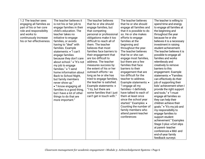| 1.2 The teacher sees      | The teacher believes it    | The teacher believes      | The teacher believes      | The teacher is willing to  |
|---------------------------|----------------------------|---------------------------|---------------------------|----------------------------|
| engaging all families as  | is not his or her job to   | that he or she should     | that he or she should     | spend time and energy      |
| part of his or her core   | engage families in their   | engage families, but      | engage all families and   | to engage all families at  |
| role and responsibility   | child's education. The     | that competing            | that it is possible to do | the beginning and          |
| and works to              | teacher takes no           | personal or professional  | so. He or she makes       | throughout the year        |
| continuously increase     | initiative to engage       | obligations make it too   | efforts to engage         | because he or she          |
| his or her effectiveness. | families, or avoids        | difficult to reach all of | families at the           | believes it is a necessary |
|                           | having to "deal" with      | them. The teacher         | beginning and             | investment in raising      |
|                           | families. Example          | believes that most        | throughout the year.      | student achievement.       |
|                           | statements: • "I can't     | families face barriers to | The teacher believes      | The teacher believes it is |
|                           | engage families            | their engagement that     | that he or she can        | possible to engage all     |
|                           | because they don't care    | are too difficult to      | engage most families,     | families and works         |
|                           | about school." • "It's not | address. The teacher      | but there are a few       | relentlessly and           |
|                           | my job to engage           | measures success by       | families that face        | creatively to remove       |
|                           | families." • "I send       | the extent of his or her  | barriers to their         | barriers to this           |
|                           | home information about     | outreach efforts-as       | engagement that are       | engagement. Example        |
|                           | Back to School Night,      | long as he or she has     | too difficult for the     | statements: • "Families    |
|                           | but family members         | tried to engage families, | teacher to address.       | can effectively do their   |
|                           | never show up."            | the teacher is satisfied. | Example statements: •     | job of supporting their    |
|                           | • "I know engaging all     | Example statements: •     | "I engage all my          | kids' achievement when I   |
|                           | families is a good thing,  | "I try, but there are     | families-I definitely     | provide the right support  |
|                           | but I have a lot of other  | some families that I just | have talked to each of    | and tools." • "I must      |
|                           | things to do that are      | can't get in touch with." | them at least once        | engage all families so     |
|                           | more important."           |                           | since the school year     | they can help their        |
|                           |                            |                           | started." Examples: •     | children achieve their     |
|                           |                            |                           | Counting the number of    | goals." • "It's my job and |
|                           |                            |                           | family members who        | my responsibility to       |
|                           |                            |                           | attend parent-teacher     | engage families to         |
|                           |                            |                           | conferences               | support student            |
|                           |                            |                           |                           | achievement." Examples     |
|                           |                            |                           |                           | Stage 3 plus: • Exit slips |
|                           |                            |                           |                           | at parent-teacher          |
|                           |                            |                           |                           | conferences . Mid- and     |
|                           |                            |                           |                           | end-of-year family         |
|                           |                            |                           |                           | feedback surveys           |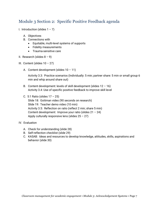## <span id="page-6-0"></span>Module 3 Section 2: Specific Positive Feedback agenda

I. Introduction (slides  $1 - 7$ )

- A. Objectives
- B. Connections with
	- Equitable, multi-level systems of supports
	- Fidelity measurements
	- Trauma-sensitive care
- II. Research (slides  $8 9$ )
- III. Content (slides  $10 27$ )
	- A. Content development (slides  $10 11$ )

Activity 3.3: Practice scenarios (Individually: 5 min; partner share: 5 min or small group 6 min and whip around share out)

- B. Content development: levels of skill development (slides  $12 16$ ) Activity 3.4: Use of specific positive feedback to improve skill level
- C. 5:1 Ratio (slides 17 25)
	- Slide 18: Gottman video (90 seconds on research) Slide 19: Teacher demo video (10 min) Activity 3.5: Reflection on ratio (reflect 2 min; share 5 min) Content development: Improve your ratio (slides 21 – 24) Apply culturally responsive lens (slides  $25 - 27$ )
- IV. Evaluation
	- A. Check for understanding (slide 28)
	- B. Self-reflection checklist (slide 29)
	- C. KASAB: Ideas and resources to develop knowledge, attitudes, skills, aspirations and behavior (slide 30)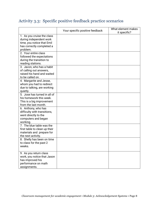## <span id="page-7-0"></span>Activity 3.3: Specific positive feedback practice scenarios

|                                                                                                                              | Your specific positive feedback | What element makes<br>it specific? |
|------------------------------------------------------------------------------------------------------------------------------|---------------------------------|------------------------------------|
| 1. As you cruise the class<br>during independent work<br>time, you notice that Emil<br>has correctly completed a<br>problem. |                                 |                                    |
| 2. Your entire class<br>followed the expectations<br>during the transition to<br>reading stations.                           |                                 |                                    |
| 3. Javon, who has a habit<br>of calling out answers,<br>raised his hand and waited<br>to be called on.                       |                                 |                                    |
| 4. Margarite and Jesse,<br>whom you had to redirect<br>due to talking, are working<br>quietly.                               |                                 |                                    |
| 5. Jose has turned in all of<br>his homework this week.<br>This is a big improvement<br>from the last month.                 |                                 |                                    |
| 6. Anthony, who has<br>difficulty with transitions,<br>went directly to the<br>computers and began<br>working.               |                                 |                                    |
| 7. The blue table was the<br>first table to clean up their<br>materials and prepare for<br>the next activity.                |                                 |                                    |
| 8. Shelly has been on time<br>to class for the past 2<br>weeks.                                                              |                                 |                                    |
| 9. As you return class<br>work, you notice that Jason<br>has improved his<br>performance on math<br>assignments.             |                                 |                                    |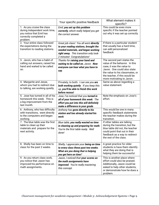|                                                                                                                              | Your specific positive feedback                                                                                                                                                                | What element makes it<br>specific?                                                                                                                                                                                        |
|------------------------------------------------------------------------------------------------------------------------------|------------------------------------------------------------------------------------------------------------------------------------------------------------------------------------------------|---------------------------------------------------------------------------------------------------------------------------------------------------------------------------------------------------------------------------|
| 1. As you cruise the class<br>during independent work time,<br>you notice that Emil has<br>correctly completed a<br>problem. | Emil, you set up this problem<br>correctly, which really helped you get<br>the correct answer.                                                                                                 | This could be even more<br>specific if the teacher pointed<br>out why it was set up correctly                                                                                                                             |
| 2. Your entire class followed<br>the expectations during the<br>transition to reading stations.                              | Great job class! You all went directly<br>to your reading stations, brought the<br>needed materials, and began working<br>right away. This transition only took<br>2 minutes! Congratulations! | If there is a particular student<br>that usually has a hard time,<br>can add personalized<br>feedback                                                                                                                     |
| 3. Javon, who has a habit of<br>calling out answers, raised his<br>hand and waited to be called<br>on.                       | Thanks for raising your hand and<br>waiting to be called on, Javon. Now<br>everyone can hear what you have to<br>say.                                                                          | The second part states the<br>value of the behavior. In this<br>case, it was the value to<br>Javon. One could also state<br>the value to his classmates, or<br>the teacher, if this would be<br>more motivating to Javon. |
| 4. Margarite and Jesse,<br>whom you had to redirect due<br>to talking, are working quietly.                                  | Privately, to both: I can see you are<br>both working quietly. If you keep this<br>up, you'll be able to finish this work<br>before recess!                                                    | Same as above regarding a<br>value statement.                                                                                                                                                                             |
| 5. Jose has turned in all of his<br>homework this week. This is<br>a big improvement from the<br>last month.                 | Jose, I've noticed that you turned in<br>all of your homework this week. The<br>effort you put into this will definitely<br>make a difference in your grade.                                   | Note the emphasis on Jose's<br>effort.                                                                                                                                                                                    |
| 6. Anthony, who has difficulty<br>with transitions, went directly<br>to the computers and began<br>working.                  | Anthony has gone directly to his<br>station and has already started his<br>work.                                                                                                               | This would be one in many<br>specific feedback statements<br>the teacher makes during the<br>transition.                                                                                                                  |
| 7. The blue table was the first<br>table to clean up their<br>materials and prepare for the<br>next activity.                | Blue table, you really wasted no time<br>in cleaning up and preparing for math.<br>You're the first table ready. Well<br>done!                                                                 | If other tables are talking<br>during the transition, but the<br>blue table did not, the teacher<br>could point that out in their<br>feedback as a way to redirect<br>the rest of the class.                              |
| 8. Shelly has been on time to<br>class for the past 2 weeks.                                                                 | Shelly, I appreciate your being on time<br>to every class these past two weeks.<br>What are you doing that is helping<br>you get here on time?                                                 | A great practice for older<br>students is have them identify<br>what they are doing that is<br>helping them be successful.                                                                                                |
| 9. As you return class work,<br>you notice that Jason has<br>improved his performance on<br>math assignments.                | Jason, I noticed that your scores on<br>the math assignments have<br>improved. You're really mastering<br>this concept.                                                                        | This is another place where<br>effort could also be praised.<br>Additionally, Jason could be<br>asked to help other students,<br>or demonstrate how he does a<br>problem.                                                 |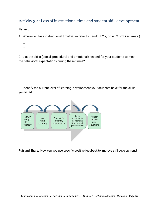## <span id="page-9-0"></span>Activity 3.4: Loss of instructional time and student skill development

#### **Reflect**

1. Where do I lose instructional time? (Can refer to Handout 2.2, or list 2 or 3 key areas.)

- •
- •
- •

2. List the skills (social, procedural and emotional) needed for your students to meet the behavioral expectations during these times?

3. Identify the current level of learning/development your students have for the skills you listed.



**Pair and Share:** How can you use specific positive feedback to improve skill development?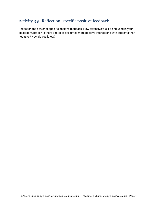## <span id="page-10-0"></span>Activity 3.5: Reflection: specific positive feedback

Reflect on the power of specific positive feedback. How extensively is it being used in your classroom/office? Is there a ratio of five times more positive interactions with students than negative? How do you know?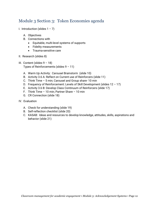## <span id="page-11-0"></span>Module 3 Section 3: Token Economies agenda

- I. Introduction (slides  $1 7$ )
	- A. Objectives
	- B. Connections with
		- Equitable, multi-level systems of supports
		- Fidelity measurements
		- Trauma-sensitive care
- II. Research (slides 8)
- III. Content (slides  $9 18$ ) Types of Reinforcements (slides  $9 - 11$ )
	- A. Warm Up Activity: Carousel Brainstorm (slide 10)
	- B. Activity 3.6 A: Reflect on Current use of Reinforcers (slide 11)
	- C. Think Time 5 min; Carousel and Group share- 10 min
	- D. Frequency of Reinforcement: Levels of Skill Development (slides 12 17)
	- E. Activity 3.6 B: Develop Class Continuum of Reinforcers (slide 17)
	- F. Think Time 10 min; Partner Share 10 min
	- G. CR Connection (slide 18)
- IV. Evaluation
	- A. Check for understanding (slide 19)
	- B. Self-reflection checklist (slide 20)
	- C. KASAB: Ideas and resources to develop knowledge, attitudes, skills, aspirations and behavior (slide 21)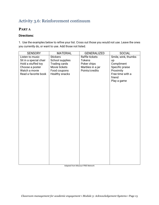## <span id="page-12-0"></span>Activity 3.6: Reinforcement continuum

#### <span id="page-12-1"></span>**PART A**

#### **Directions:**

1. Use the examples below to refine your list. Cross out those you would not use. Leave the ones you currently do, or want to use. Add those not listed.

| <b>SENSORY</b>         | <b>MATERIAL</b>      | <b>GENERALIZED</b> | <b>SOCIAL</b>       |
|------------------------|----------------------|--------------------|---------------------|
| Listen to music        | <b>Stickers</b>      | Raffle tickets     | Smile, wink, thumbs |
| Sit in a special chair | School supplies      | <b>Tokens</b>      | up                  |
| Hold a stuffed toy     | <b>Trading cards</b> | Poker chips        | Compliment          |
| Choose a poster        | Movie tickets        | Marbles in a jar   | Specific praise     |
| Watch a movie          | Food coupons         | Points/credits     | Proximity           |
| Read a favorite book   | Healthy snacks       |                    | Free time with a    |
|                        |                      |                    | friend              |
|                        |                      |                    | Play a game         |
|                        |                      |                    |                     |
|                        |                      |                    |                     |
|                        |                      |                    |                     |
|                        |                      |                    |                     |
|                        |                      |                    |                     |
|                        |                      |                    |                     |
|                        |                      |                    |                     |
|                        |                      |                    |                     |
|                        |                      |                    |                     |
|                        |                      |                    |                     |
|                        |                      |                    |                     |
|                        |                      |                    |                     |
|                        |                      |                    |                     |
|                        |                      |                    |                     |
|                        |                      |                    |                     |
|                        |                      |                    |                     |
|                        |                      |                    |                     |
|                        |                      |                    |                     |
|                        |                      |                    |                     |
|                        |                      |                    |                     |
|                        |                      |                    |                     |
|                        |                      |                    |                     |
|                        |                      |                    |                     |
|                        |                      |                    |                     |

Adapted from Missouri PBIS Network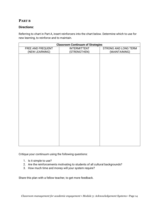#### <span id="page-13-0"></span>**PART B**

#### **Directions:**

Referring to chart in Part A, insert reinforcers into the chart below. Determine which to use for new learning, to reinforce and to maintain.

| <b>Classroom Continuum of Strategies</b>                           |                     |  |  |  |  |
|--------------------------------------------------------------------|---------------------|--|--|--|--|
| <b>STRONG AND LONG TERM</b><br>FREE AND FREQUENT<br>(NEW LEARNING) |                     |  |  |  |  |
| (STRENGTHEN)                                                       | (MAINTAINING)       |  |  |  |  |
|                                                                    |                     |  |  |  |  |
|                                                                    |                     |  |  |  |  |
|                                                                    |                     |  |  |  |  |
|                                                                    |                     |  |  |  |  |
|                                                                    |                     |  |  |  |  |
|                                                                    |                     |  |  |  |  |
|                                                                    |                     |  |  |  |  |
|                                                                    |                     |  |  |  |  |
|                                                                    |                     |  |  |  |  |
|                                                                    |                     |  |  |  |  |
|                                                                    |                     |  |  |  |  |
|                                                                    |                     |  |  |  |  |
|                                                                    |                     |  |  |  |  |
|                                                                    |                     |  |  |  |  |
|                                                                    |                     |  |  |  |  |
|                                                                    |                     |  |  |  |  |
|                                                                    |                     |  |  |  |  |
|                                                                    |                     |  |  |  |  |
|                                                                    |                     |  |  |  |  |
|                                                                    |                     |  |  |  |  |
|                                                                    |                     |  |  |  |  |
|                                                                    |                     |  |  |  |  |
|                                                                    |                     |  |  |  |  |
|                                                                    |                     |  |  |  |  |
|                                                                    |                     |  |  |  |  |
|                                                                    |                     |  |  |  |  |
|                                                                    | <b>INTERMITTENT</b> |  |  |  |  |

Critique your continuum using the following questions:

- 1. Is it simple to use?
- 2. Are the reinforcements motivating to students of all cultural backgrounds?
- 3. How much time and money will your system require?

Share this plan with a fellow teacher, to get more feedback.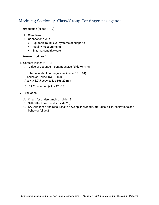## <span id="page-14-0"></span>Module 3 Section 4: Class/Group Contingencies agenda

- I. Introduction (slides  $1 7$ )
	- A. Objectives
	- B. Connections with
		- Equitable multi-level systems of supports
		- Fidelity measurements
		- Trauma-sensitive care
- II. Research (slides 8)
- III. Content (slides 9 18)
	- A. Video of dependent contingencies (slide 9) 4 min

B. Interdependent contingencies (slides  $10 - 14$ ) Discussion (slide 15) 10 min Activity 3.7 Jigsaw (slide 16) 20 min

- C. CR Connection (slide 17 18)
- IV. Evaluation
	- A. Check for understanding (slide 19)
	- B. Self-reflection checklist (slide 20)
	- C. KASAB: Ideas and resources to develop knowledge, attitudes, skills, sspirations and behavior (slide 21)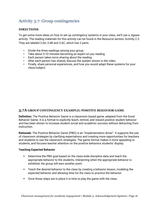## <span id="page-15-0"></span>Activity 3.7: Group contingencies

#### <span id="page-15-1"></span>**DIRECTIONS**

To get some more ideas on how to set up contingency systems in your class, we'll use a Jigsaw activity. The reading materials for this activity can be found in the Resource section, Activity 2.3. They are labeled 3.6A, 3.6B and 3.6C, which has 2 parts.

- Divide the three readings among your group.
- Take about 5-10 minutes becoming an expert on you reading
- Each person takes turns sharing about the reading.
- After each person has shared, discuss the system shown in the video.
- Finally, share personal experiences, and how you would adapt these systems for your class/subject.

#### <span id="page-15-2"></span>**3.7A GROUP CONTINGENCY EXAMPLE: POSITIVE BEHAVIOR GAME**

**Definition:** The Positive Behavior Game is a classroom based game, adapted from the Good Behavior Game. It is a format to explicitly teach, remind, and reward positive student behavior and has been shown to increase student social and academic success without detracting from instruction.

**Rationale:** The Positive Behavior Game (PBG) is an "implementation driver". It supports the use of classroom strategies by clarifying expectations and creating more opportunities for teachers and students to use the classroom strategies. The game format makes it more appealing to students, and focuses teacher attention on the positive behaviors students' display.

#### **Teaching Expected Behavior**

- Determine the PBG goal based on the class-wide discipline data and teach the appropriate behavior to the students, interjecting when the appropriate behavior is exhibited, the group will earn another point.
- **Teach the desired behavior to the class by creating a behavior lesson, modeling the** expected behavior and allowing time for the class to practice the behavior.
- Once those steps are in place it is time to play the game with the class.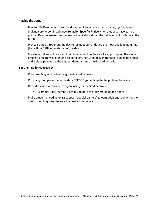#### **Playing the Game**

- Play for 10-20 minutes, or for the duration of an activity (*such as lining up for recess*), making sure to continually use **Behavior Specific Praise** when students have earned points. Reinforcement does increase the likelihood that the behavior will continue in the future.
- **Play 2-3 times throughout the day (or as needed), or during the most challenging times** (transitions/difficult material) of the day
- **If a student does not respond to a class correction, be sure to try prompting the student,** or using proximity by standing close to him/her. Also deliver immediate, specific praise and a class point once the student demonstrates the desired behavior.

#### **Set them up for success by**:

- **Pre-correcting, and re-teaching the desired behavior**
- Providing multiple verbal reminders **BEFORE** you anticipate the problem behavior
- Consider a non-verbal cue to signal using the desired behavior
	- Example: Sign, thumbs up, wink, point to the tally marks on the board
- Make students needing extra support "special earners" to earn additional points for the class when they demonstrate the desired behaviors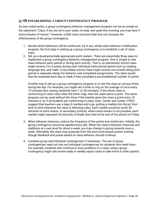#### <span id="page-17-0"></span>**3.7B ESTABLISHING A GROUP CONTINGENCY PROGRAM**

As was noted earlier, a group contingency behavior management program can be as simple as the statement "Class, if you are all in your seats, on-task, and quiet this morning, you may have 5 extra minutes of recess." However, a little more structure than this can increase the effectiveness of the group contingency.

- 1. Decide which behaviors will be reinforced. As in any whole-class behavior modification program, the first step in setting up a group contingency is to establish a set of class rules.
- 2. Set up a developmentally appropriate point system. There are essentially three ways to implement a group contingency behavior management program. One is simply to rate class behavior each period or during each activity. That is, an elementary school class might receive 0 to 5 points during each individual instructional period such as reading, language arts, and math. A secondary school class might receive one overall rating each period or separate ratings for behavior and completed assignments. The class would then be rewarded each day or week if they exceeded a pre-established number of points.

Another way to set up a group contingency program is to rate the class at various times during the day. For example, you might set a timer to ring on the average of once every 10 minutes (but varying randomly from 1 to 20 minutes). If the whole class is conforming to class rules when the timer rings, then the class earns a point. The same program can be used without the timer if the teacher gives the class a point every 10 minutes or so if all students are conforming to class rules. Canter and Canter (1992) suggest that teachers use a bag of marbles and a jar, putting a marble into the jar from time to time whenever the class is following rules. Each marble would be worth 30 seconds of extra recess. In secondary schools, where extra recess is not possible, each marble might represent 30 seconds of break time held at the end of the period on Friday.

- 3. When behavior improves, reduce the frequency of the points and reinforcers. Initially, the group contingency should be applied every day. When the class's behavior improves and stabilizes at a new level for about a week, you may change to giving rewards once a week. Ultimately, the class may graduate from the point-and-reward system entirely, though feedback and praise based on class behavior should continue.
- 4. Combine group and individual contingencies if necessary. The use of group contingencies need not rule out individual contingencies for students who need them. For example, students who continue to have problems in a class using a group contingency might still receive daily or weekly report cards to take home to their parents.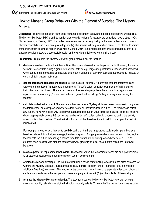## <span id="page-18-0"></span>How to: Manage Group Behaviors With the Element of Surprise: The Mystery **Motivator**

**Description.** Teachers often seek techniques to manage classroom behaviors that are both effective and feasible. The Mystery Motivator (MM) is an intervention that rewards students for appropriate behaviors (Moore et al., 1994; Rhode, Jenson, & Reavis, 1992). It includes two elements of uncertainty that give this intervention added power: (1) whether or not MM is in effect on a given day; and (2) what reward will be given when earned. The classwide version of the intervention described here (Kowalewicz & Coffee, 2014) is an interdependent group contingency: that is, all students contribute toward a successful session and rewards are delivered to the entire group.

**Preparation:** To prepare the Mystery Motivator group intervention, the teacher:

- 1. **decides when to schedule the intervention.** The Mystery Motivator can be played daily. However, the teacher will want to select MM during a group instructional activity (e.g., large-group instruction; independent seatwork) when behaviors are most challenging. It is also recommended that daily MM sessions not exceed 40 minutes or so to maintain student motivation.
- 2. **defines target and replacement behaviors.** The instructor defines 2-4 behaviors that are problematic and targeted to be reduced ('target/problem behaviors'). Target/problem-behavior examples are 'talking during instruction' and 'out of seat'. The teacher then matches each target/problem behavior with an appropriate replacement behavior: e.g., 'raises hand to be recognized before talking'; 'sitting up straight and facing the teacher'.
- 3. **calculates a behavior cut-off.** Students earn the chance for a Mystery Motivator reward in a session only when the total number or target/problem behaviors falls below an instructor-defined cut-off. The teacher can select any cut-off. However, a good way to determine a reasonable cut-off value is for the instructor to collect baseline data--keeping a tally across 2-3 days of the number of target/problem behaviors observed during the activity when MM is to be scheduled. Then the instructor can cut that baseline figure in half to come up with a realistic initial cut-off.

For example, a teacher who intends to use MM during a 40-minute large-group social studies period collects baseline data and finds that, on average, the class displays 12 target/problem behaviors. When MM begins, the teacher sets the cut-off for earning a chance for a MM reward at 6 or fewer problem behaviors. NOTE: As students show success with MM, the teacher will want gradually to lower this cut-off to reflect the improved behaviors.

- 4. **makes a poster of replacement behaviors.** The teacher writes the replacement behaviors on a poster visible to all students. Replacement behaviors are phrased in positive terms.
- 5. **creates the reward envelope.** The instructor identifies a range of motivating rewards that the class can earn for winning the Mystery Motivator, such as tangible (e.g., pencils, popcorn) and/or intangible (e.g., 5 minutes of additional free time) reinforcers. The teacher writes down each reward idea on a separate index card, places all cards into a manila reward envelope, and draws a large question-mark ('?') on the outside of the envelope.
- 6. **formats the Mystery Motivator calendar.** The teacher prepares the Mystery Motivator calendar. Using a weekly or monthly calendar format, the instructor randomly selects 60 percent of the instructional days as dates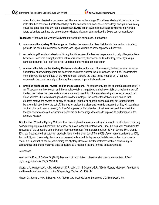when the Mystery Motivator can be earned. The teacher writes a large 'M' on those Mystery Motivator days. The instructor then covers ALL instructional days on the calendar with blank post-it notes large enough to completely cover the dates and hide any letters underneath. NOTE: When students show success with this intervention, future calendars can have the percentage of Mystery Motivator dates reduced to 50 percent or even lower.

**Procedure:** Whenever the Mystery Motivator intervention is being used, the teacher:

- 1. **announces the Mystery Motivator game.** The teacher informs the class that the MM intervention is in effect, points to the posted replacement behaviors, and urges students to show appropriate behaviors.
- 2. **records target/problem behaviors.** During the MM session, the teacher keeps a running tally of target/problem behaviors. Each time a target/problem behavior is observed, the teacher adds to the tally, either by using a hand-held counter (e.g., 'golf clicker') or updating the tally using pen and paper.
- 3. **uncovers the date on the Mystery Motivator calendar.** At the end of the session, the teacher announces the final total of observed target/problem behaviors and notes whether the tally exceeds the cut-off. The instructor then uncovers the current date on the MM calendar, allowing the class to see whether an 'M' appears underneath the post-it as a signal that day that a reward is potentially available.
- 4. **provides MM feedback, reward, and/or encouragement.** The teacher provides the appropriate response: (1) If an 'M' appears on the calendar and the cumulative tally of target/problem behaviors falls at or below the cut-off, the teacher praises the class and chooses a student to reach into the reward envelope to select a reward card. Once selected, the reward card goes back into the envelope. The teacher then follows up to ensure that students receive the reward as quickly as possible; (2) If no 'M' appears on the calendar but target/problem behaviors fall at or below the cut-off, the teacher praises the class and reminds students that they will soon have another chance to earn a reward; (3) If an 'M' appears on the calendar but behaviors exceed the cut-off, the teacher reviews expected replacement behaviors and encourages the class to improve its performance in the next MM session.

**Tips for Use.** When the Mystery Motivator has been in place for several weeks and shown to be effective in reducing classwide target/problem behaviors, the teacher can start to fade the intervention. First, the instructor can reduce the frequency of 'M's appearing on the Mystery Motivator calendar from a starting point of 60% of days to 50%, then to 40%, etc. Second, the instructor can gradually lower the behavior cut-off from 50% of pre-intervention levels to 40%, then to 30%, etc. Eventually, the instructor can randomly schedule days when the MM intervention is or is not in effect. It is important, of course, while fading the Mystery Motivator, that the instructor continue consistently to acknowledge and praise improved class behaviors as a means of locking in these behavioral gains.

#### **References**

Kowalewicz, E. A., & Coffee, G. (2014). Mystery motivator: A tier 1 classroom behavioral intervention. *School Psychology Quarterly, 29*(2), 138-156.

Moore, L.A., Waguespack, A.M., Wickstrom, K.F., Witt, J.C., & Gaydon, G.R. (1994). Mystery Motivator: An effective and time efficient intervention. *School Psychology Review*, 23, 106-117.

Rhode, G., Jenson, W.R., & Reavis, H.K. (1992). *The tough kid book*. Longmont, CO: Sopriswest, Inc.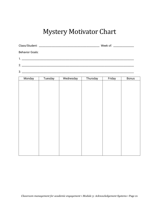## Mystery Motivator Chart

| Class/Student: | Week of: |  |
|----------------|----------|--|
|                |          |  |

Behavior Goals:

1. \_\_\_\_\_\_\_\_\_\_\_\_\_\_\_\_\_\_\_\_\_\_\_\_\_\_\_\_\_\_\_\_\_\_\_\_\_\_\_\_\_\_\_\_\_\_\_\_\_\_\_\_\_\_\_\_\_\_\_\_\_\_\_\_\_\_\_\_\_\_\_\_\_\_\_\_\_\_\_\_\_\_\_\_\_\_\_

2. \_\_\_\_\_\_\_\_\_\_\_\_\_\_\_\_\_\_\_\_\_\_\_\_\_\_\_\_\_\_\_\_\_\_\_\_\_\_\_\_\_\_\_\_\_\_\_\_\_\_\_\_\_\_\_\_\_\_\_\_\_\_\_\_\_\_\_\_\_\_\_\_\_\_\_\_\_\_\_\_\_\_\_\_\_\_\_

#### 3. \_\_\_\_\_\_\_\_\_\_\_\_\_\_\_\_\_\_\_\_\_\_\_\_\_\_\_\_\_\_\_\_\_\_\_\_\_\_\_\_\_\_\_\_\_\_\_\_\_\_\_\_\_\_\_\_\_\_\_\_\_\_\_\_\_\_\_\_\_\_\_\_\_\_\_\_\_\_\_\_\_\_\_\_\_\_\_

| Monday | Tuesday | Wednesday | Thursday | Friday | <b>Bonus</b> |
|--------|---------|-----------|----------|--------|--------------|
|        |         |           |          |        |              |
|        |         |           |          |        |              |
|        |         |           |          |        |              |
|        |         |           |          |        |              |
|        |         |           |          |        |              |
|        |         |           |          |        |              |
|        |         |           |          |        |              |
|        |         |           |          |        |              |
|        |         |           |          |        |              |
|        |         |           |          |        |              |
|        |         |           |          |        |              |
|        |         |           |          |        |              |
|        |         |           |          |        |              |
|        |         |           |          |        |              |
|        |         |           |          |        |              |
|        |         |           |          |        |              |
|        |         |           |          |        |              |
|        |         |           |          |        |              |
|        |         |           |          |        |              |